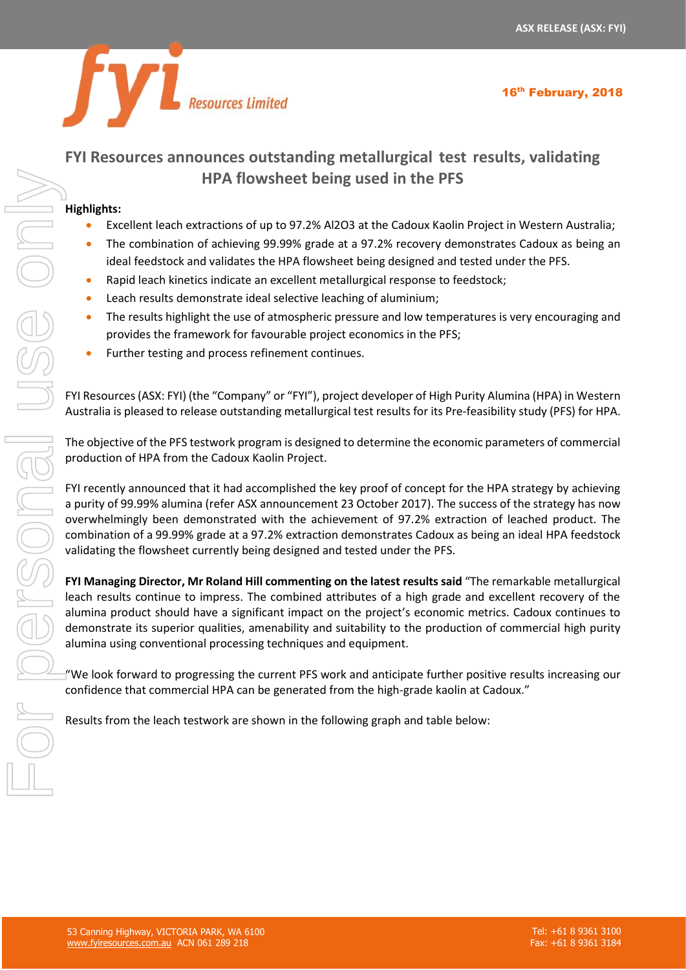16<sup>th</sup> February, 2018



# **FYI Resources announces outstanding metallurgical test results, validating HPA flowsheet being used in the PFS**

## **Highlights:**

- Excellent leach extractions of up to 97.2% Al2O3 at the Cadoux Kaolin Project in Western Australia;
- The combination of achieving 99.99% grade at a 97.2% recovery demonstrates Cadoux as being an ideal feedstock and validates the HPA flowsheet being designed and tested under the PFS.
- Rapid leach kinetics indicate an excellent metallurgical response to feedstock;
- Leach results demonstrate ideal selective leaching of aluminium;
- The results highlight the use of atmospheric pressure and low temperatures is very encouraging and provides the framework for favourable project economics in the PFS;
- Further testing and process refinement continues.

FYI Resources (ASX: FYI) (the "Company" or "FYI"), project developer of High Purity Alumina (HPA) in Western Australia is pleased to release outstanding metallurgical test results for its Pre-feasibility study (PFS) for HPA.

The objective of the PFS testwork program is designed to determine the economic parameters of commercial production of HPA from the Cadoux Kaolin Project.

FYI recently announced that it had accomplished the key proof of concept for the HPA strategy by achieving a purity of 99.99% alumina (refer ASX announcement 23 October 2017). The success of the strategy has now overwhelmingly been demonstrated with the achievement of 97.2% extraction of leached product. The combination of a 99.99% grade at a 97.2% extraction demonstrates Cadoux as being an ideal HPA feedstock validating the flowsheet currently being designed and tested under the PFS.

**FYI Managing Director, Mr Roland Hill commenting on the latest results said** "The remarkable metallurgical leach results continue to impress. The combined attributes of a high grade and excellent recovery of the alumina product should have a significant impact on the project's economic metrics. Cadoux continues to demonstrate its superior qualities, amenability and suitability to the production of commercial high purity alumina using conventional processing techniques and equipment.

"We look forward to progressing the current PFS work and anticipate further positive results increasing our confidence that commercial HPA can be generated from the high-grade kaolin at Cadoux."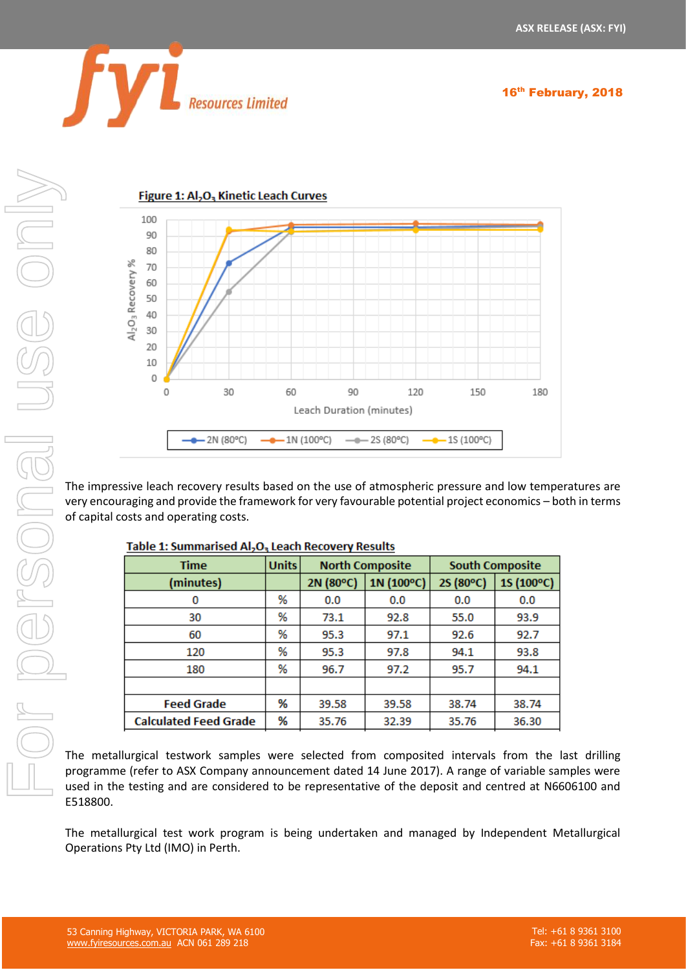16<sup>th</sup> February, 2018





The impressive leach recovery results based on the use of atmospheric pressure and low temperatures are very encouraging and provide the framework for very favourable potential project economics – both in terms of capital costs and operating costs.

| Time                         | <b>Units</b> | <b>North Composite</b> |            | <b>South Composite</b> |            |
|------------------------------|--------------|------------------------|------------|------------------------|------------|
| (minutes)                    |              | 2N (80°C)              | 1N (100°C) | 2S (80°C)              | 1S (100°C) |
| 0                            | %            | 0.0                    | 0.0        | 0.0                    | 0.0        |
| 30                           | ℅            | 73.1                   | 92.8       | 55.0                   | 93.9       |
| 60                           | %            | 95.3                   | 97.1       | 92.6                   | 92.7       |
| 120                          | %            | 95.3                   | 97.8       | 94.1                   | 93.8       |
| 180                          | %            | 96.7                   | 97.2       | 95.7                   | 94.1       |
|                              |              |                        |            |                        |            |
| <b>Feed Grade</b>            | %            | 39.58                  | 39.58      | 38.74                  | 38.74      |
| <b>Calculated Feed Grade</b> | %            | 35.76                  | 32.39      | 35.76                  | 36.30      |

The metallurgical testwork samples were selected from composited intervals from the last drilling programme (refer to ASX Company announcement dated 14 June 2017). A range of variable samples were used in the testing and are considered to be representative of the deposit and centred at N6606100 and E518800.

The metallurgical test work program is being undertaken and managed by Independent Metallurgical